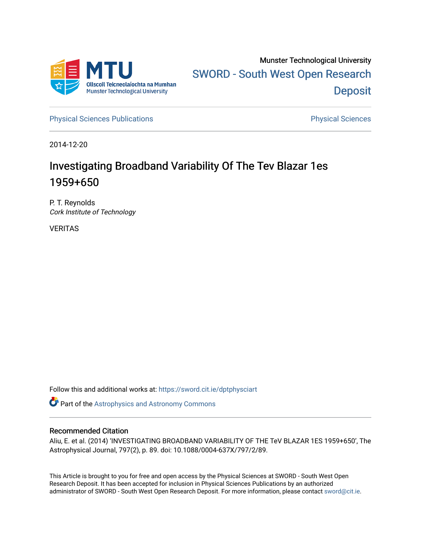

[Physical Sciences Publications](https://sword.cit.ie/dptphysciart) **Physical Sciences** Physical Sciences

2014-12-20

# Investigating Broadband Variability Of The Tev Blazar 1es 1959+650

P. T. Reynolds Cork Institute of Technology

VERITAS

Follow this and additional works at: [https://sword.cit.ie/dptphysciart](https://sword.cit.ie/dptphysciart?utm_source=sword.cit.ie%2Fdptphysciart%2F82&utm_medium=PDF&utm_campaign=PDFCoverPages)

Part of the [Astrophysics and Astronomy Commons](http://network.bepress.com/hgg/discipline/123?utm_source=sword.cit.ie%2Fdptphysciart%2F82&utm_medium=PDF&utm_campaign=PDFCoverPages) 

# Recommended Citation

Aliu, E. et al. (2014) 'INVESTIGATING BROADBAND VARIABILITY OF THE TeV BLAZAR 1ES 1959+650', The Astrophysical Journal, 797(2), p. 89. doi: 10.1088/0004-637X/797/2/89.

This Article is brought to you for free and open access by the Physical Sciences at SWORD - South West Open Research Deposit. It has been accepted for inclusion in Physical Sciences Publications by an authorized administrator of SWORD - South West Open Research Deposit. For more information, please contact [sword@cit.ie.](mailto:sword@cit.ie)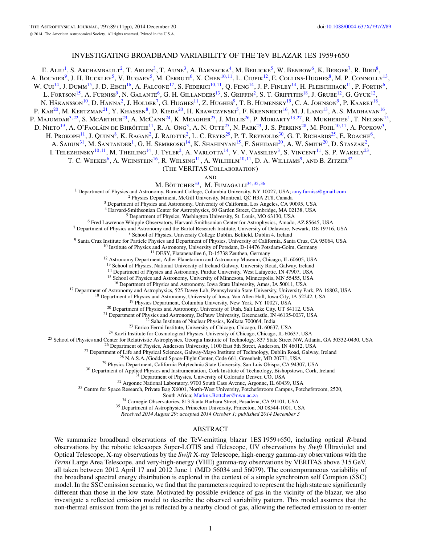# INVESTIGATING BROADBAND VARIABILITY OF THE TeV BLAZAR 1ES 1959+650

E. ALIU<sup>1</sup>, S. Archambault<sup>2</sup>, T. Arlen<sup>3</sup>, T. Aune<sup>3</sup>, A. Barnacka<sup>4</sup>, M. Beilicke<sup>5</sup>, W. Benbow<sup>6</sup>, K. Berger<sup>7</sup>, R. Bird<sup>8</sup>, A. BOUVIER<sup>9</sup>, J. H. BUCKLEY<sup>5</sup>, V. BUGAEV<sup>5</sup>, M. CERRUTI<sup>6</sup>, X. CHEN<sup>10,11</sup>, L. CIUPIK<sup>12</sup>, E. COLLINS-HUGHES<sup>8</sup>, M. P. CONNOLLY<sup>13</sup>, W. Cui<sup>14</sup>, J. Dumm<sup>15</sup>, J. D. Eisch<sup>16</sup>, A. Falcone<sup>17</sup>, S. Federici<sup>10,11</sup>, Q. Feng<sup>14</sup>, J. P. Finley<sup>14</sup>, H. Fleischhack<sup>11</sup>, P. Fortin<sup>6</sup>, L. Fortson<sup>15</sup>, A. Furniss<sup>9</sup>, N. Galante<sup>6</sup>, G. H. Gillanders<sup>13</sup>, S. Griffin<sup>2</sup>, S. T. Griffiths<sup>18</sup>, J. Grube<sup>12</sup>, G. Gyuk<sup>12</sup>, N. HÅKANSSON<sup>10</sup>, D. HANNA<sup>2</sup>, J. HOLDER<sup>7</sup>, G. HUGHES<sup>11</sup>, Z. HUGHES<sup>9</sup>, T. B. HUMENSKY<sup>19</sup>, C. A. JOHNSON<sup>9</sup>, P. KAARET<sup>18</sup>, P. KAR<sup>20</sup>, M. KERTZMAN<sup>21</sup>, Y. KHASSEN<sup>8</sup>, D. KIEDA<sup>20</sup>, H. KRAWCZYNSKI<sup>5</sup>, F. KRENNRICH<sup>16</sup>, M. J. LANG<sup>13</sup>, A. S. MADHAVAN<sup>16</sup>, P. Majumdar<sup>3,22</sup>, S. McArthur<sup>23</sup>, A. McCann<sup>24</sup>, K. Meagher<sup>25</sup>, J. Millis<sup>26</sup>, P. Moriarty<sup>13,27</sup>, R. Mukherjee<sup>1</sup>, T. Nelson<sup>15</sup>, D. Nieto<sup>19</sup>, A. O'Faoláin de Bhróithe<sup>11</sup>, R. A. Ong<sup>3</sup>, A. N. Otte<sup>25</sup>, N. Park<sup>23</sup>, J. S. Perkins<sup>28</sup>, M. Pohl<sup>10,11</sup>, A. Popkow<sup>3</sup>, H. Prokoph<sup>11</sup>, J. Quinn<sup>8</sup>, K. Ragan<sup>2</sup>, J. Rajotte<sup>2</sup>, L. C. Reyes<sup>29</sup>, P. T. Reynolds<sup>30</sup>, G. T. Richards<sup>25</sup>, E. Roache<sup>6</sup>, A. SADUN<sup>31</sup>, M. SANTANDER<sup>1</sup>, G. H. SEMBROSKI<sup>14</sup>, K. SHAHINYAN<sup>15</sup>, F. SHEIDAEI<sup>20</sup>, A. W. SMITH<sup>20</sup>, D. STASZAK<sup>2</sup>, I. TELEZHINSKY<sup>10,11</sup>, M. THEILING<sup>14</sup>, J. TYLER<sup>2</sup>, A. VARLOTTA<sup>14</sup>, V. V. VASSILIEV<sup>3</sup>, S. VINCENT<sup>11</sup>, S. P. WAKELY<sup>23</sup>, T. C. WEEKES<sup>6</sup>, A. WEINSTEIN<sup>16</sup>, R. WELSING<sup>11</sup>, A. WILHELM<sup>10,11</sup>, D. A. WILLIAMS<sup>9</sup>, AND B. ZITZER<sup>32</sup> (The VERITAS Collaboration) and M. Böttcher<sup>33</sup>, M. Fumagalli<sup>34,35,[36](#page-2-0)</sup> <sup>1</sup> Department of Physics and Astronomy, Barnard College, Columbia University, NY 10027, USA; [amy.furniss@gmail.com](mailto:amy.furniss@gmail.com) <sup>2</sup> Physics Department, McGill University, Montreal, QC H3A 2T8, Canada <sup>3</sup> Department of Physics and Astr <sup>3</sup> Department of Physics and Astronomy, University of California, Los Angeles, CA 90095, USA<br><sup>4</sup> Harvard-Smithsonian Center for Astrophysics, 60 Garden Street, Cambridge, MA 02138, USA<br><sup>5</sup> Department of Physics, Washingt <sup>14</sup> Department of Physics and Astronomy, Purdue University, West Lafayette, IN 47907, USA <sup>15</sup> School of Physics and Astronomy, University of Minnesota, Minneapolis, MN 55455, USA <sup>16</sup> Department of Physics and Astronomy <sup>16</sup> Department of Physics and Astronomy, Iowa State University, Ames, IA 50011, USA<br><sup>18</sup> Department of Astronomy and Astronomy, University of Iowa, Van Allen Hall, Iowa City, University Park, PA 16802, USA<br><sup>18</sup> Departmen South Africa; [Markus.Bottcher@nwu.ac.za](mailto:Markus.Bottcher@nwu.ac.za)<br><sup>34</sup> Carnegie Observatories, 813 Santa Barbara Street, Pasadena, CA 91101, USA<br><sup>35</sup> Department of Astrophysics, Princeton University, Princeton, NJ 08544-1001, USA

*Received 2014 August 29; accepted 2014 October 1; published 2014 December 3*

# ABSTRACT

We summarize broadband observations of the TeV-emitting blazar 1ES 1959+650, including optical *R*-band observations by the robotic telescopes Super-LOTIS and iTelescope, UV observations by *Swift* Ultraviolet and Optical Telescope, X-ray observations by the *Swift* X-ray Telescope, high-energy gamma-ray observations with the *Fermi* Large Area Telescope, and very-high-energy (VHE) gamma-ray observations by VERITAS above 315 GeV, all taken between 2012 April 17 and 2012 June 1 (MJD 56034 and 56079). The contemporaneous variability of the broadband spectral energy distribution is explored in the context of a simple synchrotron self Compton (SSC) model. In the SSC emission scenario, we find that the parameters required to represent the high state are significantly different than those in the low state. Motivated by possible evidence of gas in the vicinity of the blazar, we also investigate a reflected emission model to describe the observed variability pattern. This model assumes that the non-thermal emission from the jet is reflected by a nearby cloud of gas, allowing the reflected emission to re-enter

1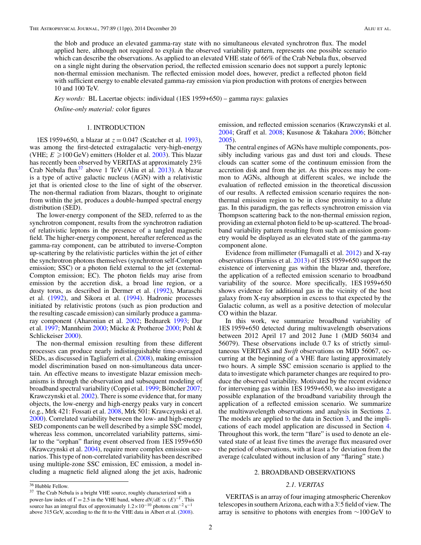<span id="page-2-0"></span>the blob and produce an elevated gamma-ray state with no simultaneous elevated synchrotron flux. The model applied here, although not required to explain the observed variability pattern, represents one possible scenario which can describe the observations. As applied to an elevated VHE state of 66% of the Crab Nebula flux, observed on a single night during the observation period, the reflected emission scenario does not support a purely leptonic non-thermal emission mechanism. The reflected emission model does, however, predict a reflected photon field with sufficient energy to enable elevated gamma-ray emission via pion production with protons of energies between 10 and 100 TeV.

*Key words:* BL Lacertae objects: individual (1ES 1959+650) – gamma rays: galaxies

*Online-only material:* color figures

# 1. INTRODUCTION

1ES 1959+650, a blazar at  $z = 0.047$  (Scatcher et al. [1993\)](#page-11-0), was among the first-detected extragalactic very-high-energy (VHE;  $E \ge 100 \,\text{GeV}$ ) emitters (Holder et al. [2003\)](#page-11-0). This blazar has recently been observed by VERITAS at approximately 23% Crab Nebula flux<sup>37</sup> above 1 TeV (Aliu et al. [2013\)](#page-11-0). A blazar is a type of active galactic nucleus (AGN) with a relativistic jet that is oriented close to the line of sight of the observer. The non-thermal radiation from blazars, thought to originate from within the jet, produces a double-humped spectral energy distribution (SED).

The lower-energy component of the SED, referred to as the synchrotron component, results from the synchrotron radiation of relativistic leptons in the presence of a tangled magnetic field. The higher-energy component, hereafter referenced as the gamma-ray component, can be attributed to inverse-Compton up-scattering by the relativistic particles within the jet of either the synchrotron photons themselves (synchrotron self-Compton emission; SSC) or a photon field external to the jet (external-Compton emission; EC). The photon fields may arise from emission by the accretion disk, a broad line region, or a dusty torus, as described in Dermer et al. [\(1992\)](#page-11-0), Maraschi et al. [\(1992\)](#page-11-0), and Sikora et al. [\(1994\)](#page-11-0). Hadronic processes initiated by relativistic protons (such as pion production and the resulting cascade emission) can similarly produce a gammaray component (Aharonian et al. [2002;](#page-11-0) Bednarek [1993;](#page-11-0) Dar et al. [1997;](#page-11-0) Mannheim  $2000$ ; Mücke & Protheroe  $2000$ ; Pohl & Schlickeiser [2000\)](#page-11-0).

The non-thermal emission resulting from these different processes can produce nearly indistinguishable time-averaged SEDs, as discussed in Tagliaferri et al. [\(2008\)](#page-11-0), making emission model discrimination based on non-simultaneous data uncertain. An effective means to investigate blazar emission mechanisms is through the observation and subsequent modeling of broadband spectral variability (Coppi et al. [1999;](#page-11-0) Böttcher [2007;](#page-11-0) Krawczynski et al. [2002\)](#page-11-0). There is some evidence that, for many objects, the low-energy and high-energy peaks vary in concert (e.g., Mrk 421: Fossati et al. [2008,](#page-11-0) Mrk 501: Krawczynski et al. [2000\)](#page-11-0). Correlated variability between the low- and high-energy SED components can be well described by a simple SSC model, whereas less common, uncorrelated variability patterns, similar to the "orphan" flaring event observed from 1ES 1959+650 (Krawczynski et al. [2004\)](#page-11-0), require more complex emission scenarios. This type of non-correlated variability has been described using multiple-zone SSC emission, EC emission, a model including a magnetic field aligned along the jet axis, hadronic emission, and reflected emission scenarios (Krawczynski et al. [2004;](#page-11-0) Graff et al. [2008;](#page-11-0) Kusunose & Takahara [2006;](#page-11-0) Böttcher [2005\)](#page-11-0).

The central engines of AGNs have multiple components, possibly including various gas and dust tori and clouds. These clouds can scatter some of the continuum emission from the accretion disk and from the jet. As this process may be common to AGNs, although at different scales, we include the evaluation of reflected emission in the theoretical discussion of our results. A reflected emission scenario requires the nonthermal emission region to be in close proximity to a dilute gas. In this paradigm, the gas reflects synchrotron emission via Thompson scattering back to the non-thermal emission region, providing an external photon field to be up-scattered. The broadband variability pattern resulting from such an emission geometry would be displayed as an elevated state of the gamma-ray component alone.

Evidence from millimeter (Fumagalli et al. [2012\)](#page-11-0) and X-ray observations (Furniss et al. [2013\)](#page-11-0) of 1ES 1959+650 support the existence of intervening gas within the blazar and, therefore, the application of a reflected emission scenario to broadband variability of the source. More specifically, 1ES 1959+650 shows evidence for additional gas in the vicinity of the host galaxy from X-ray absorption in excess to that expected by the Galactic column, as well as a positive detection of molecular CO within the blazar.

In this work, we summarize broadband variability of 1ES 1959+650 detected during multiwavelength observations between 2012 April 17 and 2012 June 1 (MJD 56034 and 56079). These observations include 0.7 ks of strictly simultaneous VERITAS and *Swift* observations on MJD 56067, occurring at the beginning of a VHE flare lasting approximately two hours. A simple SSC emission scenario is applied to the data to investigate which parameter changes are required to produce the observed variability. Motivated by the recent evidence for intervening gas within 1ES 1959+650, we also investigate a possible explanation of the broadband variability through the application of a reflected emission scenario. We summarize the multiwavelength observations and analysis in Sections 2. The models are applied to the data in Section [3,](#page-8-0) and the implications of each model application are discussed in Section [4.](#page-10-0) Throughout this work, the term "flare" is used to denote an elevated state of at least five times the average flux measured over the period of observations, with at least a 5*σ* deviation from the average (calculated without inclusion of any "flaring" state.)

# 2. BROADBAND OBSERVATIONS

# *2.1. VERITAS*

VERITAS is an array of four imaging atmospheric Cherenkov telescopes in southern Arizona, each with a 3*.* ◦5 field of view. The array is sensitive to photons with energies from  $\sim$ 100 GeV to

<sup>36</sup> Hubble Fellow.

 $37$  The Crab Nebula is a bright VHE source, roughly characterized with a power-law index of  $\Gamma = 2.5$  in the VHE band, where  $dN/dE \propto (E)^{-\Gamma}$ . This source has an integral flux of approximately  $1.2 \times 10^{-10}$  photons cm<sup>-2</sup> s<sup>-1</sup> above 315 GeV, according to the fit to the VHE data in Albert et al. [\(2008\)](#page-11-0).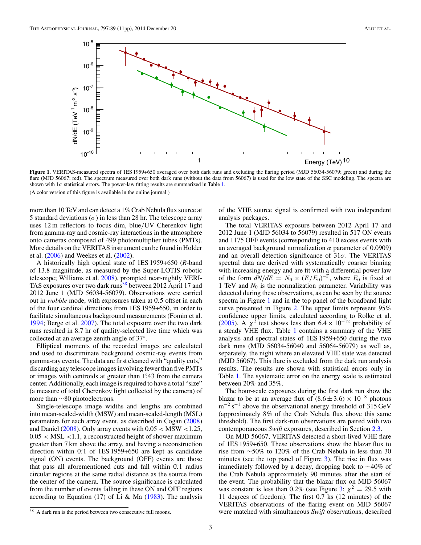<span id="page-3-0"></span>

**Figure 1.** VERITAS-measured spectra of 1ES 1959+650 averaged over both dark runs and excluding the flaring period (MJD 56034-56079; green) and during the flare (MJD 56067; red). The spectrum measured over both dark runs (without the data from 56067) is used for the low state of the SSC modeling. The spectra are shown with  $1\sigma$  statistical errors. The power-law fitting results are summarized in Table [1.](#page-4-0) (A color version of this figure is available in the online journal.)

more than 10 TeV and can detect a 1% Crab Nebula flux source at 5 standard deviations  $(\sigma)$  in less than 28 hr. The telescope array uses 12 m reflectors to focus dim, blue*/*UV Cherenkov light from gamma-ray and cosmic-ray interactions in the atmosphere onto cameras composed of 499 photomultiplier tubes (PMTs). More details on the VERITAS instrument can be found in Holder et al. [\(2006\)](#page-11-0) and Weekes et al. [\(2002\)](#page-11-0).

A historically high optical state of 1ES 1959+650 (*R*-band of 13.8 magnitude, as measured by the Super-LOTIS robotic telescope; Williams et al. [2008\)](#page-11-0), prompted near-nightly VERI-TAS exposures over two dark runs<sup>38</sup> between 2012 April 17 and 2012 June 1 (MJD 56034-56079). Observations were carried out in *wobble* mode, with exposures taken at 0.5 offset in each of the four cardinal directions from 1ES 1959+650, in order to facilitate simultaneous background measurements (Fomin et al. [1994;](#page-11-0) Berge et al. [2007\)](#page-11-0). The total exposure over the two dark runs resulted in 8.7 hr of quality-selected live time which was collected at an average zenith angle of 37◦.

Elliptical moments of the recorded images are calculated and used to discriminate background cosmic-ray events from gamma-ray events. The data are first cleaned with "quality cuts," discarding any telescope images involving fewer than five PMTs or images with centroids at greater than 1°.43 from the camera center. Additionally, each image is required to have a total "size" (a measure of total Cherenkov light collected by the camera) of more than ∼80 photoelectrons.

Single-telescope image widths and lengths are combined into mean-scaled-width (MSW) and mean-scaled-length (MSL) parameters for each array event, as described in Cogan [\(2008\)](#page-11-0) and Daniel [\(2008\)](#page-11-0). Only array events with 0.05 *<* MSW *<*1.25, 0.05 *<* MSL *<*1.1, a reconstructed height of shower maximum greater than 7 km above the array, and having a reconstruction direction within 0.<sup>2</sup> of 1ES 1959+650 are kept as candidate signal (ON) events. The background (OFF) events are those that pass all aforementioned cuts and fall within 0°.1 radius circular regions at the same radial distance as the source from the center of the camera. The source significance is calculated from the number of events falling in these ON and OFF regions according to Equation (17) of Li & Ma  $(1983)$ . The analysis

of the VHE source signal is confirmed with two independent analysis packages.

The total VERITAS exposure between 2012 April 17 and 2012 June 1 (MJD 56034 to 56079) resulted in 517 ON events and 1175 OFF events (corresponding to 410 excess events with an averaged background normalization *α* parameter of 0.0909) and an overall detection significance of 31*σ*. The VERITAS spectral data are derived with systematically coarser binning with increasing energy and are fit with a differential power law of the form  $dN/dE = N_0 \times (E/E_0)^{-\Gamma}$ , where  $E_0$  is fixed at 1 TeV and  $N_0$  is the normalization parameter. Variability was detected during these observations, as can be seen by the source spectra in Figure 1 and in the top panel of the broadband light curve presented in Figure [2.](#page-4-0) The upper limits represent 95% confidence upper limits, calculated according to Rolke et al. [\(2005\)](#page-11-0). A  $\chi^2$  test shows less than  $6.4 \times 10^{-12}$  probability of a steady VHE flux. Table [1](#page-4-0) contains a summary of the VHE analysis and spectral states of 1ES 1959+650 during the two dark runs (MJD 56034-56040 and 56064-56079) as well as, separately, the night where an elevated VHE state was detected (MJD 56067). This flare is excluded from the dark run analysis results. The results are shown with statistical errors only in Table [1.](#page-4-0) The systematic error on the energy scale is estimated between 20% and 35%.

The hour-scale exposures during the first dark run show the blazar to be at an average flux of  $(8.6 \pm 3.6) \times 10^{-8}$  photons  $m^{-2}$  s<sup>-1</sup> above the observational energy threshold of 315 GeV (approximately 8% of the Crab Nebula flux above this same threshold). The first dark-run observations are paired with two contemporaneous *Swift* exposures, described in Section [2.3.](#page-5-0)

On MJD 56067, VERITAS detected a short-lived VHE flare of 1ES 1959+650. These observations show the blazar flux to rise from ∼50% to 120% of the Crab Nebula in less than 30 minutes (see the top panel of Figure [3\)](#page-5-0). The rise in flux was immediately followed by a decay, dropping back to ∼40% of the Crab Nebula approximately 90 minutes after the start of the event. The probability that the blazar flux on MJD 56067 was constant is less than 0.2% (see Figure [3;](#page-5-0)  $\chi^2 = 29.5$  with 11 degrees of freedom). The first 0.7 ks (12 minutes) of the VERITAS observations of the flaring event on MJD 56067 were matched with simultaneous *Swift* observations, described

 $\overline{38}$  A dark run is the period between two consecutive full moons.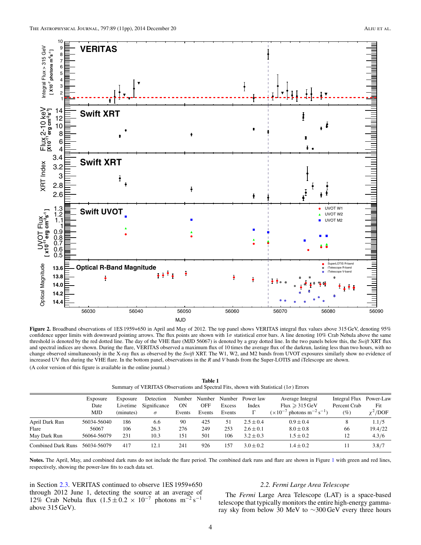<span id="page-4-0"></span>

**Figure 2.** Broadband observations of 1ES 1959+650 in April and May of 2012. The top panel shows VERITAS integral flux values above 315 GeV, denoting 95% confidence upper limits with downward pointing arrows. The flux points are shown with 1*σ* statistical error bars. A line denoting 10% Crab Nebula above the same threshold is denoted by the red dotted line. The day of the VHE flare (MJD 56067) is denoted by a gray dotted line. In the two panels below this, the *Swift* XRT flux and spectral indices are shown. During the flare, VERITAS observed a maximum flux of 10 times the average flux of the darkrun, lasting less than two hours, with no change observed simultaneously in the X-ray flux as observed by the *Swift* XRT. The W1, W2, and M2 bands from UVOT exposures similarly show no evidence of increased UV flux during the VHE flare. In the bottom panel, observations in the *R* and *V* bands from the Super-LOTIS and iTelescope are shown. (A color version of this figure is available in the online journal.)

**Table 1** Summary of VERITAS Observations and Spectral Fits, shown with Statistical (1*σ*) Errors

|                           | Exposure    | Exposure  | Detection    | Number    | Number |        | Number Power law | Average Integral                                            | Integral Flux | Power-Law     |
|---------------------------|-------------|-----------|--------------|-----------|--------|--------|------------------|-------------------------------------------------------------|---------------|---------------|
|                           | Date        | Livetime  | Significance | <b>ON</b> | OFF    | Excess | Index            | Flux $\geqslant$ 315 GeV                                    | Percent Crab  | Fit           |
|                           | <b>MJD</b>  | (minutes) | $\sigma$     | Events    | Events | Events |                  | $(\times 10^{-7}$ photons m <sup>-2</sup> s <sup>-1</sup> ) | $(\%)$        | $\chi^2$ /DOF |
| April Dark Run            | 56034-56040 | 186       | 6.6          | 90        | 425    | 51     | $2.5 \pm 0.4$    | $0.9 + 0.4$                                                 | 8             | 1.1/5         |
| Flare                     | 56067       | 106       | 26.3         | 276       | 249    | 253    | $2.6 \pm 0.1$    | $8.0 \pm 0.8$                                               | 66            | 19.4/22       |
| May Dark Run              | 56064-56079 | 231       | 10.3         | 151       | 501    | 106    | $3.2 \pm 0.3$    | $1.5 \pm 0.2$                                               | 12            | 4.3/6         |
| <b>Combined Dark Runs</b> | 56034-56079 | 417       | 12.1         | 241       | 926    | 57ء    | $3.0 + 0.2$      | $1.4 \pm 0.2$                                               | 11            | 3.8/7         |

Notes. The April, May, and combined dark runs do not include the flare period. The combined dark runs and flare are shown in Figure [1](#page-3-0) with green and red lines, respectively, showing the power-law fits to each data set.

in Section [2.3.](#page-5-0) VERITAS continued to observe 1ES 1959+650 through 2012 June 1, detecting the source at an average of 12% Crab Nebula flux  $(1.5 \pm 0.2 \times 10^{-7}$  photons m<sup>-2</sup> s<sup>-1</sup> above 315 GeV).

# *2.2. Fermi Large Area Telescope*

The *Fermi* Large Area Telescope (LAT) is a space-based telescope that typically monitors the entire high-energy gammaray sky from below 30 MeV to ∼300 GeV every three hours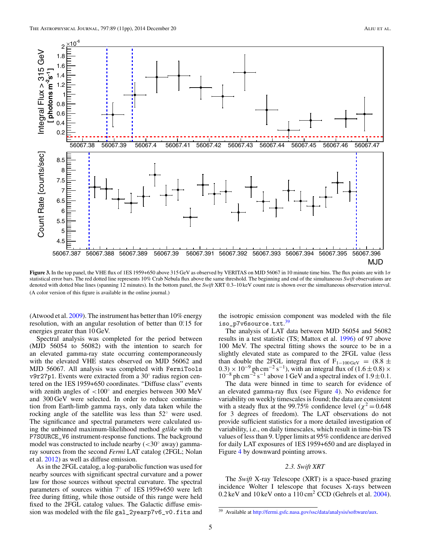<span id="page-5-0"></span>

**Figure 3.** In the top panel, the VHE flux of 1ES 1959+650 above 315 GeV as observed by VERITAS on MJD 56067 in 10 minute time bins. The flux points are with 1*σ* statistical error bars. The red dotted line represents 10% Crab Nebula flux above the same threshold. The beginning and end of the simultaneous *Swift* observations are denoted with dotted blue lines (spanning 12 minutes). In the bottom panel, the *Swift* XRT 0.3–10 keV count rate is shown over the simultaneous observation interval. (A color version of this figure is available in the online journal.)

(Atwood et al. [2009\)](#page-11-0). The instrument has better than 10% energy resolution, with an angular resolution of better than 0.<sup>o</sup>.15 for energies greater than 10 GeV.

Spectral analysis was completed for the period between (MJD 56054 to 56082) with the intention to search for an elevated gamma-ray state occurring contemporaneously with the elevated VHE states observed on MJD 56062 and MJD 56067. All analysis was completed with FermiTools v9r27p1. Events were extracted from a 30◦ radius region centered on the 1ES 1959+650 coordinates. "Diffuse class" events with zenith angles of *<*100◦ and energies between 300 MeV and 300 GeV were selected. In order to reduce contamination from Earth-limb gamma rays, only data taken while the rocking angle of the satellite was less than 52◦ were used. The significance and spectral parameters were calculated using the unbinned maximum-likelihood method *gtlike* with the P7SOURCE\_V6 instrument-response functions. The background model was constructed to include nearby (*<*30◦ away) gammaray sources from the second *Fermi* LAT catalog (2FGL; Nolan et al. [2012\)](#page-11-0) as well as diffuse emission.

As in the 2FGL catalog, a log-parabolic function was used for nearby sources with significant spectral curvature and a power law for those sources without spectral curvature. The spectral parameters of sources within 7° of 1ES 1959+650 were left free during fitting, while those outside of this range were held fixed to the 2FGL catalog values. The Galactic diffuse emission was modeled with the file gal\_2yearp7v6\_v0.fits and the isotropic emission component was modeled with the file iso\_p7v6source.txt. 39

The analysis of LAT data between MJD 56054 and 56082 results in a test statistic (TS; Mattox et al. [1996\)](#page-11-0) of 97 above 100 MeV. The spectral fitting shows the source to be in a slightly elevated state as compared to the 2FGL value (less than double the 2FGL integral flux of F<sub>1−100 GeV</sub> =  $(8.8 \pm$  $(0.3) \times 10^{-9}$  ph cm<sup>-2</sup> s<sup>-1</sup>), with an integral flux of  $(1.6 \pm 0.8) \times$  $10^{-8}$  ph cm<sup>-2</sup> s<sup>-1</sup> above 1 GeV and a spectral index of  $1.9 \pm 0.1$ .

The data were binned in time to search for evidence of an elevated gamma-ray flux (see Figure [4\)](#page-6-0). No evidence for variability on weekly timescales is found; the data are consistent with a steady flux at the 99.75% confidence level ( $\chi^2$  = 0.648) for 3 degrees of freedom). The LAT observations do not provide sufficient statistics for a more detailed investigation of variability, i.e., on daily timescales, which result in time-bin TS values of less than 9. Upper limits at 95% confidence are derived for daily LAT exposures of 1ES 1959+650 and are displayed in Figure [4](#page-6-0) by downward pointing arrows.

### *2.3. Swift XRT*

The *Swift* X-ray Telescope (XRT) is a space-based grazing incidence Wolter I telescope that focuses X-rays between  $0.2 \text{ keV}$  and  $10 \text{ keV}$  onto a  $110 \text{ cm}^2$  CCD (Gehrels et al. [2004\)](#page-11-0).

<sup>&</sup>lt;sup>39</sup> Available at [http://fermi.gsfc.nasa.gov/ssc/data/analysis/software/aux.](http://fermi.gsfc.nasa.gov/ssc/data/analysis/software/aux)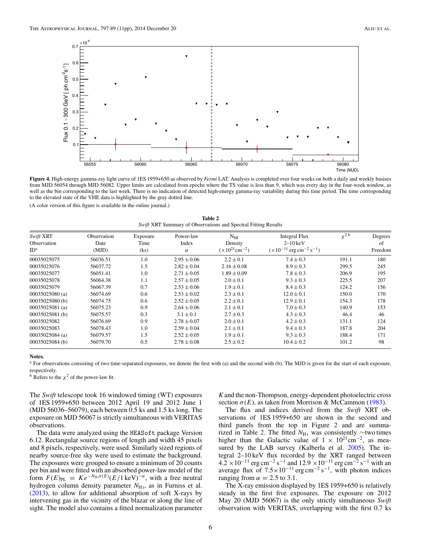<span id="page-6-0"></span>![](_page_6_Figure_2.jpeg)

**Figure 4.** High-energy gamma-ray light curve of 1ES 1959+650 as observed by *Fermi* LAT. Analysis is completed over four weeks on both a daily and weekly basises from MJD 56054 through MJD 56082. Upper limits are calculated from epochs where the TS value is less than 9, which was every day in the four-week window, as well as the bin corresponding to the last week. There is no indication of detected high-energy gamma-ray variability during this time period. The time corresponding to the elevated state of the VHE data is highlighted by the gray dotted line.

(A color version of this figure is available in the online journal.)

**Table 2** *Swift* XRT Summary of Observations and Spectral Fitting Results

| Swift XRT         | Observation | Exposure | Power-law       | $N_{\rm HI}$        | Integral Flux                                             | $\chi^2$ b | Degrees |
|-------------------|-------------|----------|-----------------|---------------------|-----------------------------------------------------------|------------|---------|
| Observation       | Date        | Time     | Index           | Density             | $2-10$ keV                                                |            | of      |
| ID <sup>a</sup>   | (MJD)       | (ks)     | $\alpha$        | $(x10^{21}cm^{-2})$ | $(\times 10^{-11}$ erg cm <sup>-2</sup> s <sup>-1</sup> ) |            | Freedom |
| 00035025075       | 56036.51    | 1.0      | $2.95 \pm 0.06$ | $2.2 \pm 0.1$       | $7.4 \pm 0.3$                                             | 191.1      | 180     |
| 00035025076       | 56037.72    | 1.5      | $2.82 \pm 0.04$ | $2.16 \pm 0.08$     | $8.9 \pm 0.3$                                             | 299.5      | 245     |
| 00035025077       | 56051.41    | 1.0      | $2.71 \pm 0.05$ | $1.89 \pm 0.09$     | $7.8 \pm 0.3$                                             | 206.9      | 195     |
| 00035025078       | 56064.38    | 1.1      | $2.57 \pm 0.05$ | $2.0 \pm 0.1$       | $9.3 \pm 0.3$                                             | 225.5      | 207     |
| 00035025079       | 56067.39    | 0.7      | $2.53 \pm 0.06$ | $1.9 \pm 0.1$       | $8.4 \pm 0.3$                                             | 124.2      | 156     |
| 00035025080 (a)   | 56074.69    | 0.6      | $2.53 \pm 0.02$ | $2.3 \pm 0.1$       | $12.0 \pm 0.1$                                            | 150.0      | 170     |
| 00035025080 (b)   | 56074.75    | 0.6      | $2.52 \pm 0.05$ | $2.2 \pm 0.1$       | $12.9 \pm 0.1$                                            | 154.3      | 178     |
| $00035025081$ (a) | 56075.23    | 0.9      | $2.64 \pm 0.06$ | $2.1 \pm 0.1$       | $7.0 \pm 0.3$                                             | 140.9      | 153     |
| 00035025081 (b)   | 56075.57    | 0.3      | $3.1 \pm 0.1$   | $2.7 \pm 0.3$       | $4.3 \pm 0.3$                                             | 46.4       | 46      |
| 00035025082       | 56076.69    | 0.9      | $2.78 \pm 0.07$ | $2.0 \pm 0.1$       | $4.2 \pm 0.3$                                             | 131.1      | 124     |
| 00035025083       | 56078.43    | 1.0      | $2.59 \pm 0.04$ | $2.1 \pm 0.1$       | $9.4 \pm 0.3$                                             | 187.8      | 204     |
| 00035025084 (a)   | 56079.57    | 1.5      | $2.52 \pm 0.05$ | $1.9 \pm 0.1$       | $9.3 \pm 0.3$                                             | 188.4      | 171     |
| 00035025084 (b)   | 56079.70    | 0.5      | $2.78 \pm 0.08$ | $2.5 \pm 0.2$       | $10.4 \pm 0.2$                                            | 101.2      | 98      |

#### **Notes.**

<sup>a</sup> For observations consisting of two time-separated exposures, we denote the first with (a) and the second with (b). The MJD is given for the start of each exposure, respectively.

<sup>b</sup> Refers to the  $\chi^2$  of the power-law fit.

The *Swift* telescope took 16 windowed timing (WT) exposures of 1ES 1959+650 between 2012 April 19 and 2012 June 1 (MJD 56036–56079), each between 0.5 ks and 1.5 ks long. The exposure on MJD 56067 is strictly simultaneous with VERITAS observations.

The data were analyzed using the HEASoft package Version 6.12. Rectangular source regions of length and width 45 pixels and 8 pixels, respectively, were used. Similarly sized regions of nearby source-free sky were used to estimate the background. The exposures were grouped to ensure a minimum of 20 counts per bin and were fitted with an absorbed power-law model of the form  $F(E)_{PL} = Ke^{-N_{\text{H1}}\sigma(E)}(E/1 \text{ keV})^{-\alpha}$ , with a free neutral hydrogen column density parameter  $N_{\text{H}_1}$ , as in Furniss et al. [\(2013\)](#page-11-0), to allow for additional absorption of soft X-rays by intervening gas in the vicinity of the blazar or along the line of sight. The model also contains a fitted normalization parameter

*K* and the non-Thompson, energy-dependent photoelectric cross section  $\sigma(E)$ , as taken from Morrison & McCammon [\(1983\)](#page-11-0).

The flux and indices derived from the *Swift* XRT observations of 1ES 1959+650 are shown in the second and third panels from the top in Figure [2](#page-4-0) and are summarized in Table 2. The fitted *N*<sub>H<sub>1</sub></sub> was consistently ∼two times higher than the Galactic value of  $1 \times 10^{21}$ cm<sup>-2</sup>, as mea-sured by the LAB survey (Kalberla et al. [2005\)](#page-11-0). The integral 2–10 keV flux recorded by the XRT ranged between  $4.2 \times 10^{-11}$  erg cm<sup>-2</sup> s<sup>-1</sup> and  $12.9 \times 10^{-11}$  erg cm<sup>-2</sup> s<sup>-1</sup> with an average flux of  $7.5 \times 10^{-11}$  erg cm<sup>-2</sup> s<sup>-1</sup>, with photon indices ranging from  $\alpha = 2.5$  to 3.1.

The X-ray emission displayed by 1ES 1959+650 is relatively steady in the first five exposures. The exposure on 2012 May 20 (MJD 56067) is the only strictly simultaneous *Swift* observation with VERITAS, overlapping with the first 0.7 ks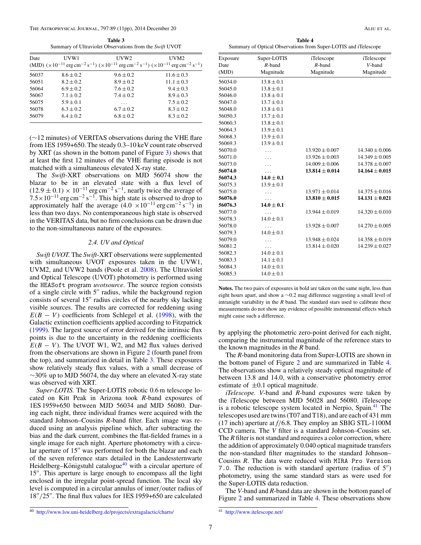**Table 3** Summary of Ultraviolet Observations from the *Swift* UVOT

<span id="page-7-0"></span>

| Date  | UVW1          | UVW2<br>(MJD) $(\times 10^{-11} \text{ erg cm}^{-2} \text{ s}^{-1}) (\times 10^{-11} \text{ erg cm}^{-2} \text{ s}^{-1}) (\times 10^{-11} \text{ erg cm}^{-2} \text{ s}^{-1})$ | UVM <sub>2</sub> |
|-------|---------------|--------------------------------------------------------------------------------------------------------------------------------------------------------------------------------|------------------|
| 56037 | $8.6 \pm 0.2$ | $9.6 \pm 0.2$                                                                                                                                                                  | $11.6 \pm 0.3$   |
| 56051 | $8.2 + 0.2$   | $8.9 \pm 0.2$                                                                                                                                                                  | $11.1 \pm 0.3$   |
| 56064 | $6.9 + 0.2$   | $7.6 \pm 0.2$                                                                                                                                                                  | $9.4 \pm 0.3$    |
| 56067 | $7.1 \pm 0.2$ | $7.4 \pm 0.2$                                                                                                                                                                  | $8.9 + 0.3$      |
| 56075 | $5.9 \pm 0.1$ | $\cdots$                                                                                                                                                                       | $7.5 \pm 0.2$    |
| 56078 | $6.3 + 0.2$   | $6.7 + 0.2$                                                                                                                                                                    | $8.3 + 0.2$      |
| 56079 | $6.4 \pm 0.2$ | $6.8 + 0.2$                                                                                                                                                                    | $8.3 + 0.2$      |

(∼12 minutes) of VERITAS observations during the VHE flare from 1ES 1959+650. The steady 0.3–10 keV count rate observed by XRT (as shown in the bottom panel of Figure [3\)](#page-5-0) shows that at least the first 12 minutes of the VHE flaring episode is not matched with a simultaneous elevated X-ray state.

The *Swift*-XRT observations on MJD 56074 show the blazar to be in an elevated state with a flux level of  $(12.9 \pm 0.1) \times 10^{-11}$  erg cm<sup>-2</sup> s<sup>-1</sup>, nearly twice the average of  $7.5\times10^{-11}$  erg cm<sup>-2</sup> s<sup>-1</sup>. This high state is observed to drop to approximately half the average  $(4.0 \times 10^{-11} \text{ erg cm}^{-2} \text{ s}^{-1})$  in less than two days. No contemporaneous high state is observed in the VERITAS data, but no firm conclusions can be drawn due to the non-simultaneous nature of the exposures.

# *2.4. UV and Optical*

*Swift UVOT.* The *Swift*-XRT observations were supplemented with simultaneous UVOT exposures taken in the UVW1, UVM2, and UVW2 bands (Poole et al. [2008\)](#page-11-0). The Ultraviolet and Optical Telescope (UVOT) photometry is performed using the HEASoft program *uvotsource*. The source region consists of a single circle with  $5''$  radius, while the background region consists of several  $15$ " radius circles of the nearby sky lacking visible sources. The results are corrected for reddening using  $E(B - V)$  coefficients from Schlegel et al. [\(1998\)](#page-11-0), with the Galactic extinction coefficients applied according to Fitzpatrick [\(1999\)](#page-11-0). The largest source of error derived for the intrinsic flux points is due to the uncertainty in the reddening coefficients  $E(B - V)$ . The UVOT W1, W2, and M2 flux values derived from the observations are shown in Figure [2](#page-4-0) (fourth panel from the top), and summarized in detail in Table 3. These exposures show relatively steady flux values, with a small decrease of  $\sim$ 30% up to MJD 56074, the day where an elevated X-ray state was observed with XRT.

*Super-LOTIS.* The Super-LOTIS robotic 0.6 m telescope located on Kitt Peak in Arizona took *R*-band exposures of 1ES 1959+650 between MJD 56034 and MJD 56080. During each night, three individual frames were acquired with the standard Johnson–Cousins *R*-band filter. Each image was reduced using an analysis pipeline which, after subtracting the bias and the dark current, combines the flat-fielded frames in a single image for each night. Aperture photometry with a circular aperture of 15" was performed for both the blazar and each of the seven reference stars detailed in the Landessternwarte Heidelberg–Königstuhl catalogue $40$  with a circular aperture of 15". This aperture is large enough to encompass all the light enclosed in the irregular point-spread function. The local sky level is computed in a circular annulus of inner*/*outer radius of 18"/25". The final flux values for 1ES 1959+650 are calculated

**Table 4** Summary of Optical Observations from Super-LOTIS and iTelescope

| Exposure | Super-LOTIS    | iTelescope         | iTelescope         |
|----------|----------------|--------------------|--------------------|
| Date     | $R$ -band      | $R$ -band          | V-band             |
| (MJD)    | Magnitude      | Magnitude          | Magnitude          |
| 56034.0  | $13.8 \pm 0.1$ |                    |                    |
| 56045.0  | $13.8 \pm 0.1$ |                    |                    |
| 56046.0  | $13.8 \pm 0.1$ |                    |                    |
| 56047.0  | $13.7 \pm 0.1$ |                    |                    |
| 56048.0  | $13.8 \pm 0.1$ |                    |                    |
| 56050.3  | $13.7 \pm 0.1$ |                    |                    |
| 56060.3  | $13.8 \pm 0.1$ |                    |                    |
| 56064.3  | $13.9 \pm 0.1$ |                    |                    |
| 56068.3  | $13.9 \pm 0.1$ |                    |                    |
| 56069.3  | $13.9 \pm 0.1$ |                    |                    |
| 56070.0  |                | $13.920 \pm 0.007$ | $14.340 \pm 0.006$ |
| 56071.0  |                | $13.926 \pm 0.003$ | $14.349 \pm 0.005$ |
| 56073.0  |                | $14.009 \pm 0.006$ | $14.378 \pm 0.007$ |
| 56074.0  |                | $13.814 \pm 0.014$ | $14.164 \pm 0.015$ |
| 56074.3  | $14.0 \pm 0.1$ |                    |                    |
| 56075.3  | $13.9 \pm 0.1$ |                    |                    |
| 56075.0  |                | $13.971 \pm 0.014$ | $14.375 \pm 0.016$ |
| 56076.0  |                | $13.810 \pm 0.015$ | $14.131 \pm 0.021$ |
| 56076.3  | $14.0 \pm 0.1$ |                    |                    |
| 56077.0  |                | $13.944 \pm 0.019$ | $14.320 \pm 0.010$ |
| 56078.3  | $14.0 \pm 0.1$ |                    |                    |
| 56078.0  | .              | $13.928 \pm 0.007$ | $14.270 \pm 0.005$ |
| 56079.3  | $14.0 \pm 0.1$ |                    |                    |
| 56079.0  |                | $13.948 \pm 0.024$ | $14.358 \pm 0.019$ |
| 56081.2  | .              | $13.814 \pm 0.020$ | $14.239 \pm 0.027$ |
| 56082.3  | $14.0 \pm 0.1$ |                    |                    |
| 56083.3  | $14.1 \pm 0.1$ |                    |                    |
| 56084.3  | $14.0 \pm 0.1$ |                    |                    |
| 56085.3  | $14.0 \pm 0.1$ |                    |                    |
|          |                |                    |                    |

**Notes.** The two pairs of exposures in bold are taken on the same night, less than eight hours apart, and show a ∼0.2 mag difference suggesting a small level of intranight variability in the *R* band. The standard stars used to calibrate these measurements do not show any evidence of possible instrumental effects which might cause such a difference.

by applying the photometric zero-point derived for each night, comparing the instrumental magnitude of the reference stars to the known magnitudes in the *R* band.

The *R*-band monitoring data from Super-LOTIS are shown in the bottom panel of Figure [2](#page-4-0) and are summarized in Table 4. The observations show a relatively steady optical magnitude of between 13.8 and 14.0, with a conservative photometry error estimate of  $\pm 0.1$  optical magnitude.

*iTelescope. V*-band and *R*-band exposures were taken by the iTelescope between MJD 56028 and 56080. iTelescope is a robotic telescope system located in Nerpio, Spain.<sup>41</sup> The telescopes used are twins (T07 and T18), and are each of 431 mm (17 inch) aperture at *f/*6.8. They employ an SBIG STL-1100M CCD camera. The *V* filter is a standard Johnson–Cousins set. The *R* filter is not standard and requires a color correction, where the addition of approximately 0.040 optical magnitude transfers the non-standard filter magnitudes to the standard Johnson– Cousins *R*. The data were reduced with MIRA Pro Version 7.0. The reduction is with standard aperture (radius of  $5$ ") photometry, using the same standard stars as were used for the Super-LOTIS data reduction.

The *V*-band and *R*-band data are shown in the bottom panel of Figure [2](#page-4-0) and summarized in Table 4. These observations show

<sup>40</sup> <http://www.lsw.uni-heidelberg.de/projects/extragalactic/charts/>

 $\overline{41}$  <http://www.itelescope.net/>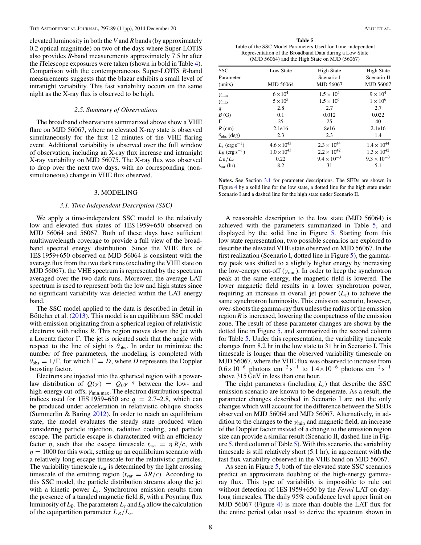<span id="page-8-0"></span>elevated luminosity in both the *V* and *R* bands (by approximately 0.2 optical magnitude) on two of the days where Super-LOTIS also provides *R*-band measurements approximately 7.5 hr after the iTelescope exposures were taken (shown in bold in Table [4\)](#page-7-0). Comparison with the contemporaneous Super-LOTIS *R*-band measurements suggests that the blazar exhibits a small level of intranight variability. This fast variability occurs on the same night as the X-ray flux is observed to be high.

### *2.5. Summary of Observations*

The broadband observations summarized above show a VHE flare on MJD 56067, where no elevated X-ray state is observed simultaneously for the first 12 minutes of the VHE flaring event. Additional variability is observed over the full window of observation, including an X-ray flux increase and intranight X-ray variability on MJD 56075. The X-ray flux was observed to drop over the next two days, with no corresponding (nonsimultaneous) change in VHE flux observed.

### 3. MODELING

### *3.1. Time Independent Description (SSC)*

We apply a time-independent SSC model to the relatively low and elevated flux states of 1ES 1959+650 observed on MJD 56064 and 56067. Both of these days have sufficient multiwavelength coverage to provide a full view of the broadband spectral energy distribution. Since the VHE flux of 1ES 1959+650 observed on MJD 56064 is consistent with the average flux from the two dark runs (excluding the VHE state on MJD 56067), the VHE spectrum is represented by the spectrum averaged over the two dark runs. Moreover, the average LAT spectrum is used to represent both the low and high states since no significant variability was detected within the LAT energy band.

The SSC model applied to the data is described in detail in Böttcher et al. ([2013\)](#page-11-0). This model is an equilibrium SSC model with emission originating from a spherical region of relativistic electrons with radius *R*. This region moves down the jet with a Lorentz factor Γ. The jet is oriented such that the angle with respect to the line of sight is  $\theta_{\rm obs}$ . In order to minimize the number of free parameters, the modeling is completed with  $\theta_{\text{obs}} = 1/\Gamma$ , for which  $\Gamma = D$ , where *D* represents the Doppler boosting factor.

Electrons are injected into the spherical region with a powerlaw distribution of  $Q(\gamma) = Q_0 \gamma^{-q}$  between the low- and high-energy cut-offs, *γ*min*,*max. The electron distribution spectral indices used for 1ES 1959+650 are  $q = 2.7{\text -}2.8$ , which can be produced under acceleration in relativistic oblique shocks (Summerlin & Baring [2012\)](#page-11-0). In order to reach an equilibrium state, the model evaluates the steady state produced when considering particle injection, radiative cooling, and particle escape. The particle escape is characterized with an efficiency factor  $\eta$ , such that the escape timescale  $t_{\text{esc}} = \eta R/c$ , with  $\eta = 1000$  for this work, setting up an equilibrium scenario with a relatively long escape timescale for the relativistic particles. The variability timescale  $t_{\text{var}}$  is determined by the light crossing timescale of the emitting region ( $t_{\text{var}} = \delta R/c$ ). According to this SSC model, the particle distribution streams along the jet with a kinetic power *Le*. Synchrotron emission results from the presence of a tangled magnetic field *B*, with a Poynting flux luminosity of  $L_B$ . The parameters  $L_e$  and  $L_B$  allow the calculation of the equipartition parameter  $L_B/L_e$ .

**Table 5** Table of the SSC Model Parameters Used for Time-independent Representation of the Broadband Data during a Low State (MJD 56064) and the High State on MJD (56067)

| <b>SSC</b><br>Parameter<br>(units) | Low State<br><b>MJD 56064</b> | <b>High State</b><br>Scenario I<br>MJD 56067 | <b>High State</b><br>Scenario II<br>MJD 56067 |
|------------------------------------|-------------------------------|----------------------------------------------|-----------------------------------------------|
| $\gamma_{\min}$                    | $6 \times 10^4$               | $1.5 \times 10^{5}$                          | $9 \times 10^4$                               |
| $\gamma$ max                       | $5 \times 10^5$               | $1.5 \times 10^{6}$                          | $1 \times 10^6$                               |
| q                                  | 2.8                           | 2.7                                          | 2.7                                           |
| B(G)                               | 0.1                           | 0.012                                        | 0.022                                         |
| Г                                  | 25                            | 25                                           | 40                                            |
| $R$ (cm)                           | 2.1e16                        | 8e16                                         | 2.1e16                                        |
| $\theta_{\rm obs}$ (deg)           | 2.3                           | 2.3                                          | 1.4                                           |
| $L_e$ (erg s <sup>-1</sup> )       | $4.6 \times 10^{43}$          | $2.3 \times 10^{44}$                         | $1.4 \times 10^{44}$                          |
| $L_B$ (erg s <sup>-1</sup> )       | $1.0 \times 10^{43}$          | $2.2 \times 10^{42}$                         | $1.3 \times 10^{42}$                          |
| $L_B/L_e$                          | 0.22                          | $9.4 \times 10^{-3}$                         | $9.3 \times 10^{-3}$                          |
| $t_{\rm var}$ (hr)                 | 8.2                           | 31                                           | 5.1                                           |

**Notes.** See Section 3.1 for parameter descriptions. The SEDs are shown in Figure [4](#page-6-0) by a solid line for the low state, a dotted line for the high state under Scenario I and a dashed line for the high state under Scenario II.

A reasonable description to the low state (MJD 56064) is achieved with the parameters summarized in Table 5, and displayed by the solid line in Figure [5.](#page-9-0) Starting from this low state representation, two possible scenarios are explored to describe the elevated VHE state observed on MJD 56067. In the first realization (Scenario I, dotted line in Figure [5\)](#page-9-0), the gammaray peak was shifted to a slightly higher energy by increasing the low-energy cut-off (*γ*min). In order to keep the synchrotron peak at the same energy, the magnetic field is lowered. The lower magnetic field results in a lower synchrotron power, requiring an increase in overall jet power (*Le*) to achieve the same synchrotron luminosity. This emission scenario, however, over-shoots the gamma-ray flux unless the radius of the emission region *R* is increased, lowering the compactness of the emission zone. The result of these parameter changes are shown by the dotted line in Figure [5,](#page-9-0) and summarized in the second column for Table 5. Under this representation, the variability timescale changes from 8.2 hr in the low state to 31 hr in Scenario I. This timescale is longer than the observed variability timescale on MJD 56067, where the VHE flux was observed to increase from  $0.6\times10^{-6}$  photons cm<sup>-2</sup> s<sup>-1</sup> to  $1.4\times10^{-6}$  photons cm<sup>-2</sup> s<sup>-1</sup> above 315 GeV in less than one hour.

The eight parameters (including *Le*) that describe the SSC emission scenario are known to be degenerate. As a result, the parameter changes described in Scenario I are not the only changes which will account for the difference between the SEDs observed on MJD 56064 and MJD 56067. Alternatively, in addition to the changes to the *γ*min and magnetic field, an increase of the Doppler factor instead of a change to the emission region size can provide a similar result (Scenario II, dashed line in Figure  $5$ , third column of Table  $5$ ). With this scenario, the variability timescale is still relatively short (5.1 hr), in agreement with the fast flux variability observed in the VHE band on MJD 56067.

As seen in Figure [5,](#page-9-0) both of the elevated state SSC scenarios predict an approximate doubling of the high-energy gammaray flux. This type of variability is impossible to rule out without detection of 1ES 1959+650 by the *Fermi* LAT on daylong timescales. The daily 95% confidence level upper limit on MJD 56067 (Figure [4\)](#page-6-0) is more than double the LAT flux for the entire period (also used to derive the spectrum shown in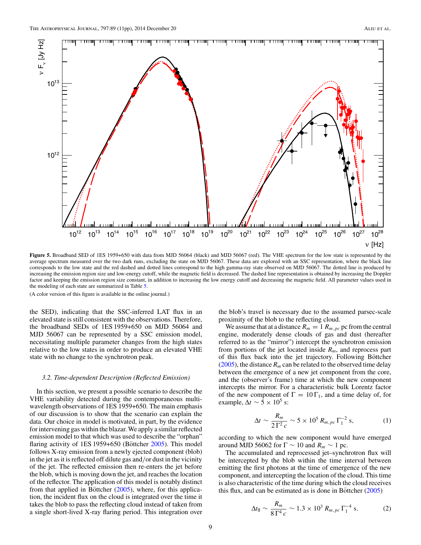<span id="page-9-0"></span>![](_page_9_Figure_2.jpeg)

**Figure 5.** Broadband SED of 1ES 1959+650 with data from MJD 56064 (black) and MJD 56067 (red). The VHE spectrum for the low state is represented by the average spectrum measured over the two dark runs, excluding the state on MJD 56067. These data are explored with an SSC representation, where the black line corresponds to the low state and the red dashed and dotted lines correspond to the high gamma-ray state observed on MJD 56067. The dotted line is produced by increasing the emission region size and low-energy cutoff, while the magnetic field is decreased. The dashed line representation is obtained by increasing the Doppler factor and keeping the emission region size constant, in addition to increasing the low energy cutoff and decreasing the magnetic field. All parameter values used in the modeling of each state are summarized in Table [5.](#page-8-0)

(A color version of this figure is available in the online journal.)

the SED), indicating that the SSC-inferred LAT flux in an elevated state is still consistent with the observations. Therefore, the broadband SEDs of 1ES 1959+650 on MJD 56064 and MJD 56067 can be represented by a SSC emission model, necessitating multiple parameter changes from the high states relative to the low states in order to produce an elevated VHE state with no change to the synchrotron peak.

# *3.2. Time-dependent Description (Reflected Emission)*

In this section, we present a possible scenario to describe the VHE variability detected during the contemporaneous multiwavelength observations of 1ES 1959+650. The main emphasis of our discussion is to show that the scenario can explain the data. Our choice in model is motivated, in part, by the evidence for intervening gas within the blazar.We apply a similar reflected emission model to that which was used to describe the "orphan" flaring activity of  $1ES 1959+650$  (Böttcher [2005\)](#page-11-0). This model follows X-ray emission from a newly ejected component (blob) in the jet as it is reflected off dilute gas and*/*or dust in the vicinity of the jet. The reflected emission then re-enters the jet before the blob, which is moving down the jet, and reaches the location of the reflector. The application of this model is notably distinct from that applied in Böttcher  $(2005)$  $(2005)$ , where, for this application, the incident flux on the cloud is integrated over the time it takes the blob to pass the reflecting cloud instead of taken from a single short-lived X-ray flaring period. This integration over the blob's travel is necessary due to the assumed parsec-scale proximity of the blob to the reflecting cloud.

We assume that at a distance  $R_m = 1 R_{m,pc}$  pc from the central engine, moderately dense clouds of gas and dust (hereafter referred to as the "mirror") intercept the synchrotron emission from portions of the jet located inside *Rm*, and reprocess part of this flux back into the jet trajectory. Following Böttcher  $(2005)$ , the distance  $R_m$  can be related to the observed time delay between the emergence of a new jet component from the core, and the (observer's frame) time at which the new component intercepts the mirror. For a characteristic bulk Lorentz factor of the new component of  $\Gamma = 10 \Gamma_1$ , and a time delay of, for example,  $\Delta t \sim 5 \times 10^5$  s:

$$
\Delta t \sim \frac{R_m}{2\,\Gamma^2\,c} \sim 5 \times 10^5\,R_{m,pc}\,\Gamma_1^{-2}\,\mathrm{s},\tag{1}
$$

according to which the new component would have emerged around MJD 56062 for  $\Gamma \sim 10$  and  $R_m \sim 1$  pc.

The accumulated and reprocessed jet–synchrotron flux will be intercepted by the blob within the time interval between emitting the first photons at the time of emergence of the new component, and intercepting the location of the cloud. This time is also characteristic of the time during which the cloud receives this flux, and can be estimated as is done in Böttcher  $(2005)$  $(2005)$ 

$$
\Delta t_{\rm fl} \sim \frac{R_m}{8\,\Gamma^4\,c} \sim 1.3 \times 10^3\,R_{m,\,pc}\,\Gamma_1^{-4}\,\,{\rm s.} \tag{2}
$$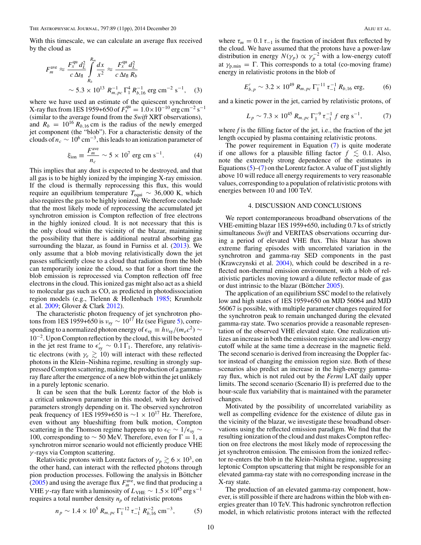<span id="page-10-0"></span>With this timescale, we can calculate an average flux received by the cloud as

$$
F_m^{\text{ave}} \approx \frac{F_x^{\text{qu}} d_L^2}{c \Delta t_\text{fl}} \int_{R_b}^{R_m} \frac{dx}{x^2} \approx \frac{F_x^{\text{qu}} d_L^2}{c \Delta t_\text{fl} R_b}
$$
  
  $\sim 5.3 \times 10^{13} R_{m,pc}^{-1} \Gamma_1^4 R_{b,16}^{-1} \text{ erg cm}^{-2} \text{ s}^{-1}, \quad (3)$ 

where we have used an estimate of the quiescent synchrotron  $X$ -ray flux from 1ES 1959+650 of  $F_x^{\text{qu}} = 1.0 \times 10^{-10} \text{ erg cm}^{-2} \text{ s}^{-1}$ (similar to the average found from the *Swift* XRT observations), and  $R_b = 10^{16} R_{b,16}$  cm is the radius of the newly emerged jet component (the "blob"). For a characteristic density of the clouds of  $n_c \sim 10^6 \text{ cm}^{-3}$ , this leads to an ionization parameter of

$$
\xi_{\text{ion}} \equiv \frac{F_m^{\text{ave}}}{n_c} \sim 5 \times 10^7 \text{ erg cm s}^{-1}.
$$
 (4)

This implies that any dust is expected to be destroyed, and that all gas is to be highly ionized by the impinging X-ray emission. If the cloud is thermally reprocessing this flux, this would require an equilibrium temperature  $T_{\text{equi}} \sim 36,000 \text{ K}$ , which also requires the gas to be highly ionized. We therefore conclude that the most likely mode of reprocessing the accumulated jet synchrotron emission is Compton reflection of free electrons in the highly ionized cloud. It is not necessary that this is the only cloud within the vicinity of the blazar, maintaining the possibility that there is additional neutral absorbing gas surrounding the blazar, as found in Furniss et al.  $(2013)$ . We only assume that a blob moving relativistically down the jet passes sufficiently close to a cloud that radiation from the blob can temporarily ionize the cloud, so that for a short time the blob emission is reprocessed via Compton reflection off free electrons in the cloud. This ionized gas might also act as a shield to molecular gas such as CO, as predicted in photodissociation region models (e.g., Tielenn & Hollenbach [1985;](#page-11-0) Krumholz et al. [2009;](#page-11-0) Glover & Clark [2012\)](#page-11-0).

The characteristic photon frequency of jet synchrotron photons from 1ES 1959+650 is  $v_{sy} \sim 10^{17}$  Hz (see Figure [5\)](#page-9-0), corresponding to a normalized photon energy of  $\epsilon_{sy} \equiv h v_{sy}/(m_e c^2) \sim$ 10−2. Upon Compton reflection by the cloud, this will be boosted in the jet rest frame to  $\epsilon'_{sy} \sim 0.1 \Gamma_1$ . Therefore, any relativistic electrons (with  $\gamma_e \gtrsim 10$ ) will interact with these reflected photons in the Klein–Nishina regime, resulting in strongly suppressed Compton scattering, making the production of a gammaray flare after the emergence of a new blob within the jet unlikely in a purely leptonic scenario.

It can be seen that the bulk Lorentz factor of the blob is a critical unknown parameter in this model, with key derived parameters strongly depending on it. The observed synchrotron peak frequency of 1ES 1959+650 is  $\sim$ 1 × 10<sup>17</sup> Hz. Therefore, even without any blueshifting from bulk motion, Compton scattering in the Thomson regime happens up to  $\epsilon_C \sim 1/\epsilon_{sv} \sim$ 100, corresponding to  $\sim$  50 MeV. Therefore, even for  $\Gamma = 1$ , a synchrotron mirror scenario would not efficiently produce VHE *γ* -rays via Compton scattering.

Relativistic protons with Lorentz factors of  $\gamma_p \gtrsim 6 \times 10^3$ , on the other hand, can interact with the reflected photons through pion production processes. Following the analysis in Böttcher [\(2005\)](#page-11-0) and using the average flux  $F_m^{\text{ave}}$ , we find that producing a VHE *γ*-ray flare with a luminosity of  $L_{\text{VHE}} \sim 1.5 \times 10^{45} \text{ erg s}^{-1}$ requires a total number density  $n_p$  of relativistic protons

$$
n_p \sim 1.4 \times 10^5 R_{m,pc} \Gamma_1^{-12} \tau_{-1}^{-1} R_{b,16}^{-2} \text{ cm}^{-3}, \tag{5}
$$

where  $\tau_m = 0.1 \tau_{-1}$  is the fraction of incident flux reflected by the cloud. We have assumed that the protons have a power-law distribution in energy  $N(\gamma_p) \propto \gamma_p^{-2}$  with a low-energy cutoff at  $\gamma_{p,\text{min}} = \Gamma$ . This corresponds to a total (co-moving frame) energy in relativistic protons in the blob of

$$
E'_{b,p} \sim 3.2 \times 10^{49} R_{m,pc} \Gamma_1^{-11} \tau_{-1}^{-1} R_{b,16} \text{ erg},
$$
 (6)

and a kinetic power in the jet, carried by relativistic protons, of

$$
L_p \sim 7.3 \times 10^{45} R_{m,pc} \Gamma_1^{-9} \tau_{-1}^{-1} f \text{ erg s}^{-1}, \tag{7}
$$

where *f* is the filling factor of the jet, i.e., the fraction of the jet length occupied by plasma containing relativistic protons.

The power requirement in Equation (7) is quite moderate if one allows for a plausible filling factor  $f \lesssim 0.1$ . Also, note the extremely strong dependence of the estimates in Equations (5)–(7) on the Lorentz factor. A value of  $\Gamma$  just slightly above 10 will reduce all energy requirements to very reasonable values, corresponding to a population of relativistic protons with energies between 10 and 100 TeV.

### 4. DISCUSSION AND CONCLUSIONS

We report contemporaneous broadband observations of the VHE-emitting blazar 1ES 1959+650, including 0.7 ks of strictly simultaneous *Swift* and VERITAS observations occurring during a period of elevated VHE flux. This blazar has shown extreme flaring episodes with uncorrelated variation in the synchrotron and gamma-ray SED components in the past (Krawczynski et al. [2004\)](#page-11-0), which could be described in a reflected non-thermal emission environment, with a blob of relativistic particles moving toward a dilute reflector made of gas or dust intrinsic to the blazar (Böttcher  $2005$ ).

The application of an equilibrium SSC model to the relatively low and high states of 1ES 1959+650 on MJD 56064 and MJD 56067 is possible, with multiple parameter changes required for the synchrotron peak to remain unchanged during the elevated gamma-ray state. Two scenarios provide a reasonable representation of the observed VHE elevated state. One realization utilizes an increase in both the emission region size and low-energy cutoff while at the same time a decrease in the magnetic field. The second scenario is derived from increasing the Doppler factor instead of changing the emission region size. Both of these scenarios also predict an increase in the high-energy gammaray flux, which is not ruled out by the *Fermi* LAT daily upper limits. The second scenario (Scenario II) is preferred due to the hour-scale flux variability that is maintained with the parameter changes.

Motivated by the possibility of uncorrelated variability as well as compelling evidence for the existence of dilute gas in the vicinity of the blazar, we investigate these broadband observations using the reflected emission paradigm. We find that the resulting ionization of the cloud and dust makes Compton reflection on free electrons the most likely mode of reprocessing the jet synchrotron emission. The emission from the ionized reflector re-enters the blob in the Klein–Nishina regime, suppressing leptonic Compton upscattering that might be responsible for an elevated gamma-ray state with no corresponding increase in the X-ray state.

The production of an elevated gamma-ray component, however, is still possible if there are hadrons within the blob with energies greater than 10 TeV. This hadronic synchrotron reflection model, in which relativistic protons interact with the reflected